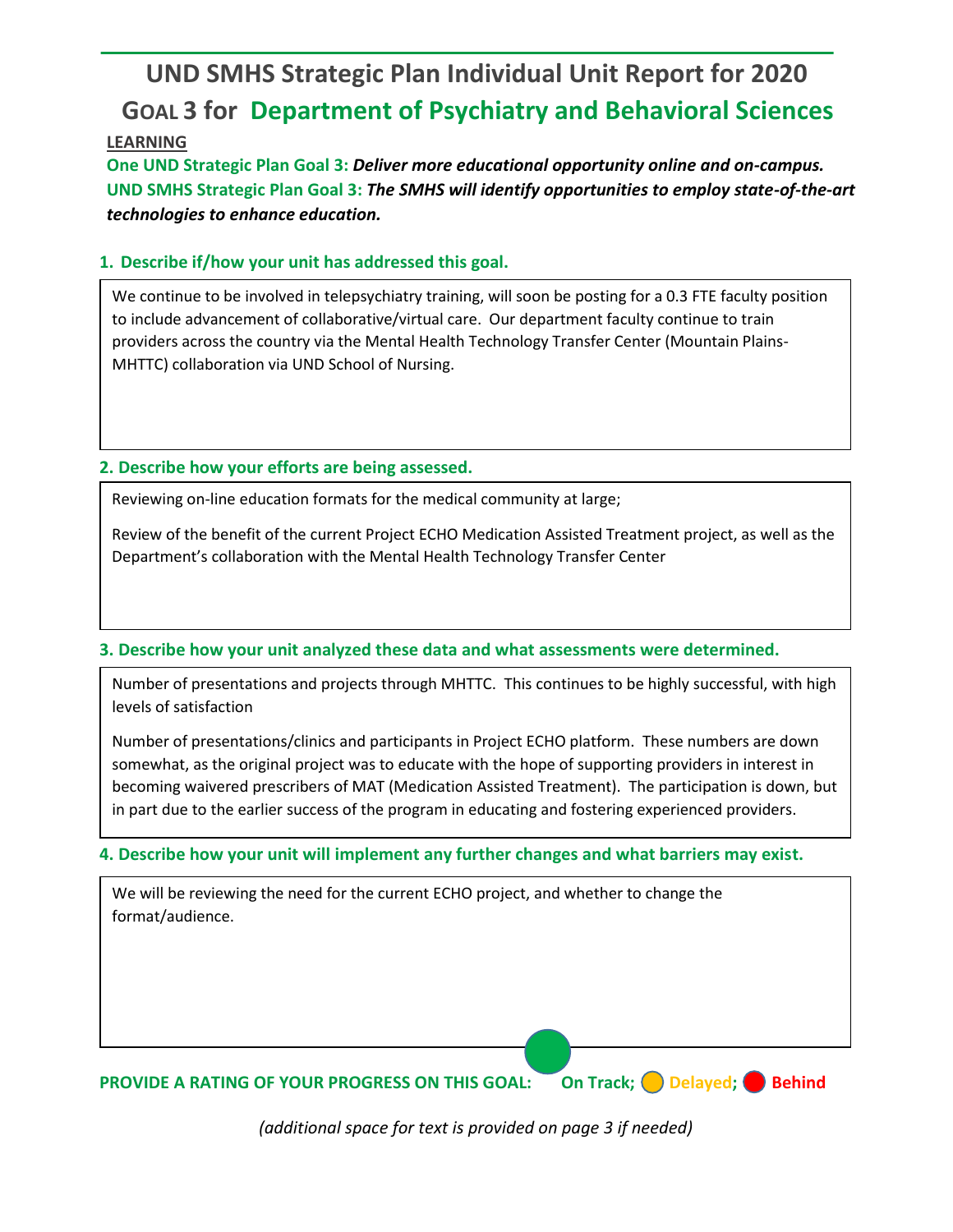# **UND SMHS Strategic Plan Individual Unit Report for 2020 GOAL 3 for Department of Psychiatry and Behavioral Sciences**

## **LEARNING**

**One UND Strategic Plan Goal 3:** *Deliver more educational opportunity online and on-campus.* **UND SMHS Strategic Plan Goal 3:** *The SMHS will identify opportunities to employ state-of-the-art technologies to enhance education.*

## **1. Describe if/how your unit has addressed this goal.**

We continue to be involved in telepsychiatry training, will soon be posting for a 0.3 FTE faculty position to include advancement of collaborative/virtual care. Our department faculty continue to train providers across the country via the Mental Health Technology Transfer Center (Mountain Plains-MHTTC) collaboration via UND School of Nursing.

## **2. Describe how your efforts are being assessed.**

Reviewing on-line education formats for the medical community at large;

Review of the benefit of the current Project ECHO Medication Assisted Treatment project, as well as the Department's collaboration with the Mental Health Technology Transfer Center

## **3. Describe how your unit analyzed these data and what assessments were determined.**

Number of presentations and projects through MHTTC. This continues to be highly successful, with high levels of satisfaction

Number of presentations/clinics and participants in Project ECHO platform. These numbers are down somewhat, as the original project was to educate with the hope of supporting providers in interest in becoming waivered prescribers of MAT (Medication Assisted Treatment). The participation is down, but in part due to the earlier success of the program in educating and fostering experienced providers.

## **4. Describe how your unit will implement any further changes and what barriers may exist.**

We will be reviewing the need for the current ECHO project, and whether to change the format/audience.

**PROVIDE A RATING OF YOUR PROGRESS ON THIS GOAL: On Track; Delayed; Behind** 

*(additional space for text is provided on page 3 if needed)*